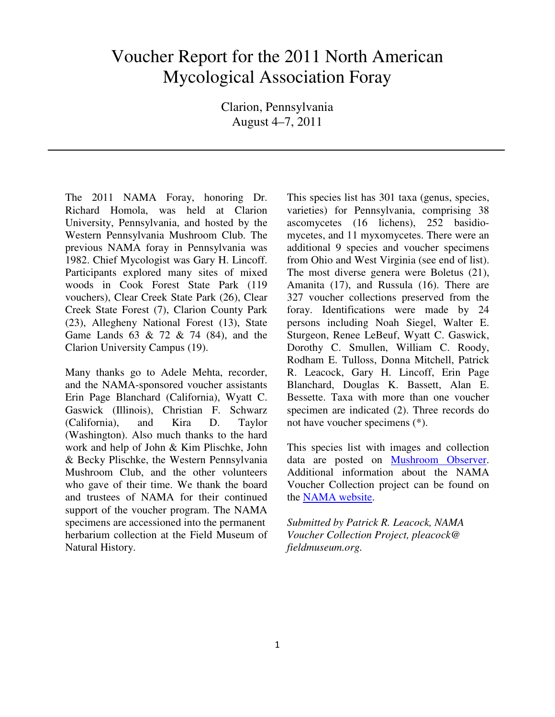## Voucher Report for the 2011 North American Mycological Association Foray

Clarion, Pennsylvania August 4–7, 2011

The 2011 NAMA Foray, honoring Dr. Richard Homola, was held at Clarion University, Pennsylvania, and hosted by the Western Pennsylvania Mushroom Club. The previous NAMA foray in Pennsylvania was 1982. Chief Mycologist was Gary H. Lincoff. Participants explored many sites of mixed woods in Cook Forest State Park (119 vouchers), Clear Creek State Park (26), Clear Creek State Forest (7), Clarion County Park (23), Allegheny National Forest (13), State Game Lands 63 & 72 & 74 (84), and the Clarion University Campus (19).

Many thanks go to Adele Mehta, recorder, and the NAMA-sponsored voucher assistants Erin Page Blanchard (California), Wyatt C. Gaswick (Illinois), Christian F. Schwarz (California), and Kira D. Taylor (Washington). Also much thanks to the hard work and help of John & Kim Plischke, John & Becky Plischke, the Western Pennsylvania Mushroom Club, and the other volunteers who gave of their time. We thank the board and trustees of NAMA for their continued support of the voucher program. The NAMA specimens are accessioned into the permanent herbarium collection at the Field Museum of Natural History.

This species list has 301 taxa (genus, species, varieties) for Pennsylvania, comprising 38 ascomycetes (16 lichens), 252 basidiomycetes, and 11 myxomycetes. There were an additional 9 species and voucher specimens from Ohio and West Virginia (see end of list). The most diverse genera were Boletus (21), Amanita (17), and Russula (16). There are 327 voucher collections preserved from the foray. Identifications were made by 24 persons including Noah Siegel, Walter E. Sturgeon, Renee LeBeuf, Wyatt C. Gaswick, Dorothy C. Smullen, William C. Roody, Rodham E. Tulloss, Donna Mitchell, Patrick R. Leacock, Gary H. Lincoff, Erin Page Blanchard, Douglas K. Bassett, Alan E. Bessette. Taxa with more than one voucher specimen are indicated (2). Three records do not have voucher specimens (\*).

This species list with images and collection data are posted on Mushroom Observer. Additional information about the NAMA Voucher Collection project can be found on the NAMA website.

*Submitted by Patrick R. Leacock, NAMA Voucher Collection Project, pleacock@ fieldmuseum.org.*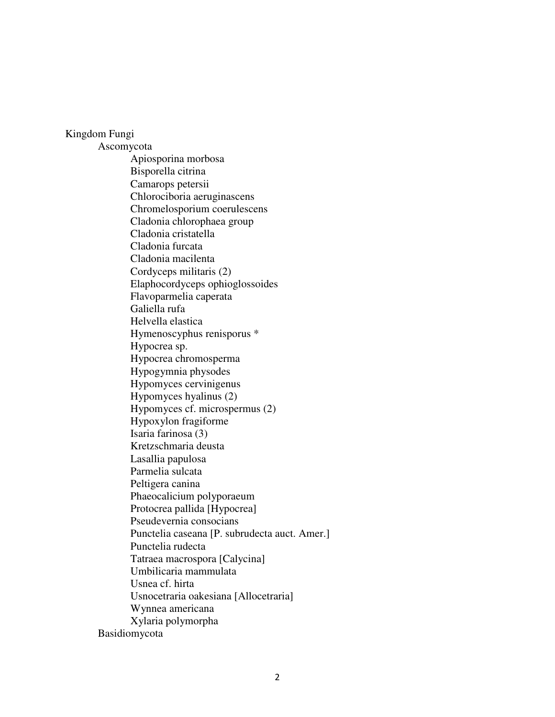## Kingdom Fungi

 Ascomycota Apiosporina morbosa Bisporella citrina Camarops petersii Chlorociboria aeruginascens Chromelosporium coerulescens Cladonia chlorophaea group Cladonia cristatella Cladonia furcata Cladonia macilenta Cordyceps militaris (2) Elaphocordyceps ophioglossoides Flavoparmelia caperata Galiella rufa Helvella elastica Hymenoscyphus renisporus \* Hypocrea sp. Hypocrea chromosperma Hypogymnia physodes Hypomyces cervinigenus Hypomyces hyalinus (2) Hypomyces cf. microspermus (2) Hypoxylon fragiforme Isaria farinosa (3) Kretzschmaria deusta Lasallia papulosa Parmelia sulcata Peltigera canina Phaeocalicium polyporaeum Protocrea pallida [Hypocrea] Pseudevernia consocians Punctelia caseana [P. subrudecta auct. Amer.] Punctelia rudecta Tatraea macrospora [Calycina] Umbilicaria mammulata Usnea cf. hirta Usnocetraria oakesiana [Allocetraria] Wynnea americana Xylaria polymorpha Basidiomycota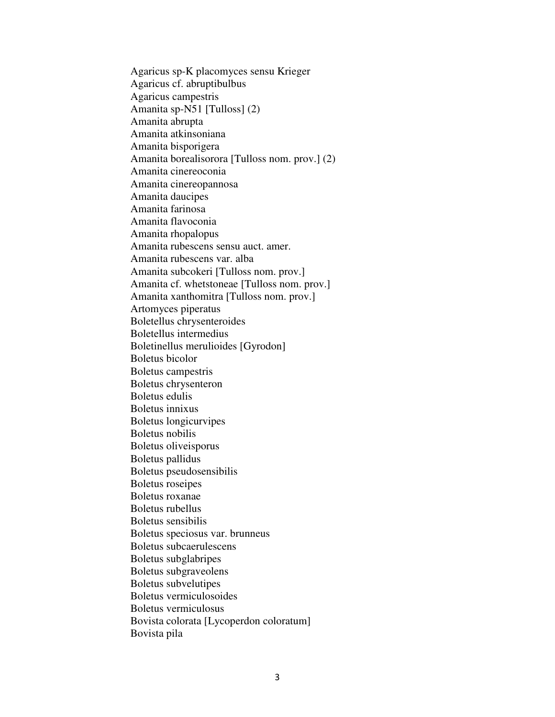Agaricus sp-K placomyces sensu Krieger Agaricus cf. abruptibulbus Agaricus campestris Amanita sp-N51 [Tulloss] (2) Amanita abrupta Amanita atkinsoniana Amanita bisporigera Amanita borealisorora [Tulloss nom. prov.] (2) Amanita cinereoconia Amanita cinereopannosa Amanita daucipes Amanita farinosa Amanita flavoconia Amanita rhopalopus Amanita rubescens sensu auct. amer. Amanita rubescens var. alba Amanita subcokeri [Tulloss nom. prov.] Amanita cf. whetstoneae [Tulloss nom. prov.] Amanita xanthomitra [Tulloss nom. prov.] Artomyces piperatus Boletellus chrysenteroides Boletellus intermedius Boletinellus merulioides [Gyrodon] Boletus bicolor Boletus campestris Boletus chrysenteron Boletus edulis Boletus innixus Boletus longicurvipes Boletus nobilis Boletus oliveisporus Boletus pallidus Boletus pseudosensibilis Boletus roseipes Boletus roxanae Boletus rubellus Boletus sensibilis Boletus speciosus var. brunneus Boletus subcaerulescens Boletus subglabripes Boletus subgraveolens Boletus subvelutipes Boletus vermiculosoides Boletus vermiculosus Bovista colorata [Lycoperdon coloratum] Bovista pila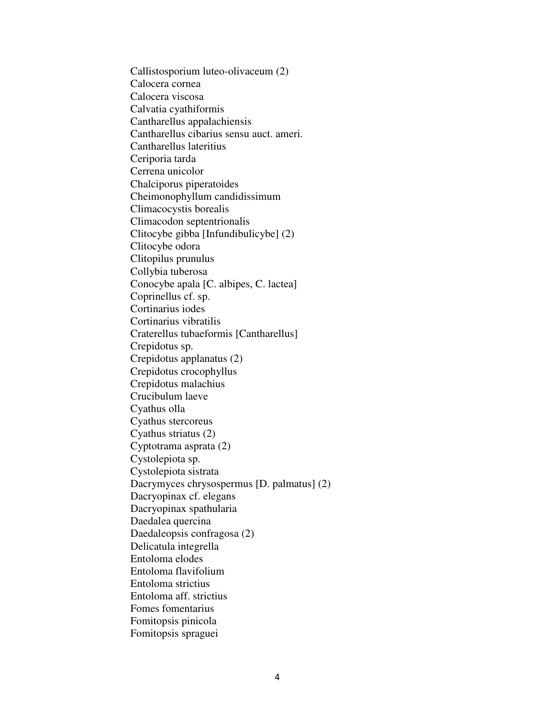Callistosporium luteo-olivaceum (2) Calocera cornea Calocera viscosa Calvatia cyathiformis Cantharellus appalachiensis Cantharellus cibarius sensu auct. ameri. Cantharellus lateritius Ceriporia tarda Cerrena unicolor Chalciporus piperatoides Cheimonophyllum candidissimum Climacocystis borealis Climacodon septentrionalis Clitocybe gibba [Infundibulicybe] (2) Clitocybe odora Clitopilus prunulus Collybia tuberosa Conocybe apala [C. albipes, C. lactea] Coprinellus cf. sp. Cortinarius iodes Cortinarius vibratilis Craterellus tubaeformis [Cantharellus] Crepidotus sp. Crepidotus applanatus (2) Crepidotus crocophyllus Crepidotus malachius Crucibulum laeve Cyathus olla Cyathus stercoreus Cyathus striatus (2) Cyptotrama asprata (2) Cystolepiota sp. Cystolepiota sistrata Dacrymyces chrysospermus [D. palmatus] (2) Dacryopinax cf. elegans Dacryopinax spathularia Daedalea quercina Daedaleopsis confragosa (2) Delicatula integrella Entoloma elodes Entoloma flavifolium Entoloma strictius Entoloma aff. strictius Fomes fomentarius Fomitopsis pinicola Fomitopsis spraguei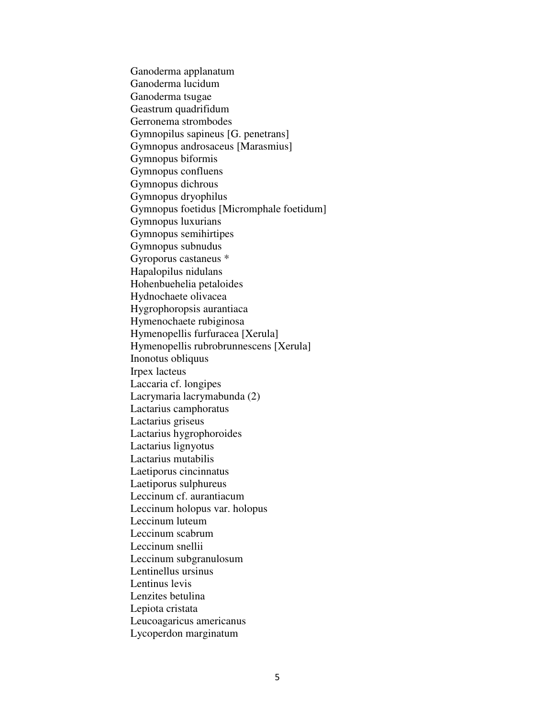Ganoderma applanatum Ganoderma lucidum Ganoderma tsugae Geastrum quadrifidum Gerronema strombodes Gymnopilus sapineus [G. penetrans] Gymnopus androsaceus [Marasmius] Gymnopus biformis Gymnopus confluens Gymnopus dichrous Gymnopus dryophilus Gymnopus foetidus [Micromphale foetidum] Gymnopus luxurians Gymnopus semihirtipes Gymnopus subnudus Gyroporus castaneus \* Hapalopilus nidulans Hohenbuehelia petaloides Hydnochaete olivacea Hygrophoropsis aurantiaca Hymenochaete rubiginosa Hymenopellis furfuracea [Xerula] Hymenopellis rubrobrunnescens [Xerula] Inonotus obliquus Irpex lacteus Laccaria cf. longipes Lacrymaria lacrymabunda (2) Lactarius camphoratus Lactarius griseus Lactarius hygrophoroides Lactarius lignyotus Lactarius mutabilis Laetiporus cincinnatus Laetiporus sulphureus Leccinum cf. aurantiacum Leccinum holopus var. holopus Leccinum luteum Leccinum scabrum Leccinum snellii Leccinum subgranulosum Lentinellus ursinus Lentinus levis Lenzites betulina Lepiota cristata Leucoagaricus americanus Lycoperdon marginatum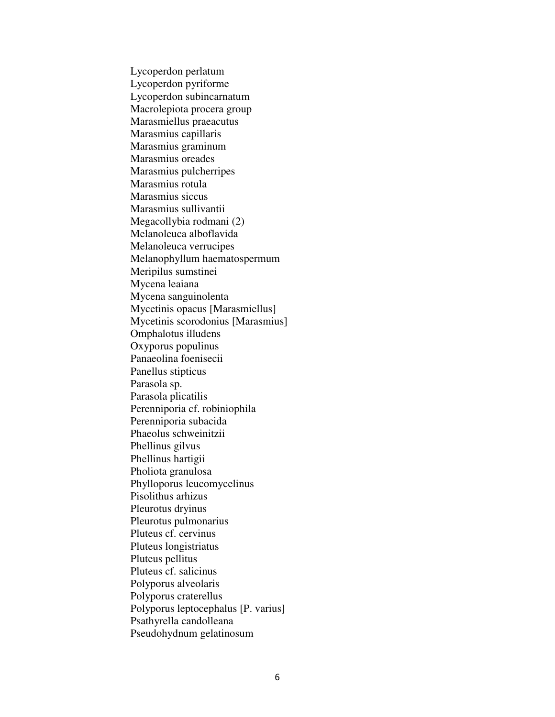Lycoperdon perlatum Lycoperdon pyriforme Lycoperdon subincarnatum Macrolepiota procera group Marasmiellus praeacutus Marasmius capillaris Marasmius graminum Marasmius oreades Marasmius pulcherripes Marasmius rotula Marasmius siccus Marasmius sullivantii Megacollybia rodmani (2) Melanoleuca alboflavida Melanoleuca verrucipes Melanophyllum haematospermum Meripilus sumstinei Mycena leaiana Mycena sanguinolenta Mycetinis opacus [Marasmiellus] Mycetinis scorodonius [Marasmius] Omphalotus illudens Oxyporus populinus Panaeolina foenisecii Panellus stipticus Parasola sp. Parasola plicatilis Perenniporia cf. robiniophila Perenniporia subacida Phaeolus schweinitzii Phellinus gilvus Phellinus hartigii Pholiota granulosa Phylloporus leucomycelinus Pisolithus arhizus Pleurotus dryinus Pleurotus pulmonarius Pluteus cf. cervinus Pluteus longistriatus Pluteus pellitus Pluteus cf. salicinus Polyporus alveolaris Polyporus craterellus Polyporus leptocephalus [P. varius] Psathyrella candolleana Pseudohydnum gelatinosum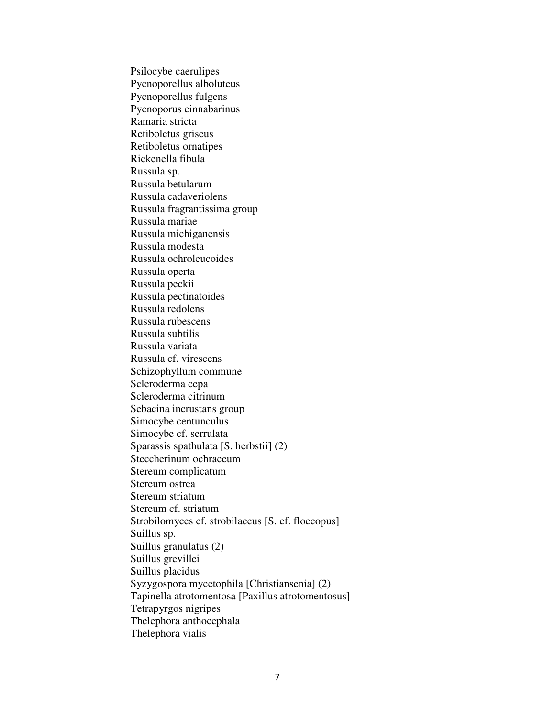Psilocybe caerulipes Pycnoporellus alboluteus Pycnoporellus fulgens Pycnoporus cinnabarinus Ramaria stricta Retiboletus griseus Retiboletus ornatipes Rickenella fibula Russula sp. Russula betularum Russula cadaveriolens Russula fragrantissima group Russula mariae Russula michiganensis Russula modesta Russula ochroleucoides Russula operta Russula peckii Russula pectinatoides Russula redolens Russula rubescens Russula subtilis Russula variata Russula cf. virescens Schizophyllum commune Scleroderma cepa Scleroderma citrinum Sebacina incrustans group Simocybe centunculus Simocybe cf. serrulata Sparassis spathulata [S. herbstii] (2) Steccherinum ochraceum Stereum complicatum Stereum ostrea Stereum striatum Stereum cf. striatum Strobilomyces cf. strobilaceus [S. cf. floccopus] Suillus sp. Suillus granulatus (2) Suillus grevillei Suillus placidus Syzygospora mycetophila [Christiansenia] (2) Tapinella atrotomentosa [Paxillus atrotomentosus] Tetrapyrgos nigripes Thelephora anthocephala Thelephora vialis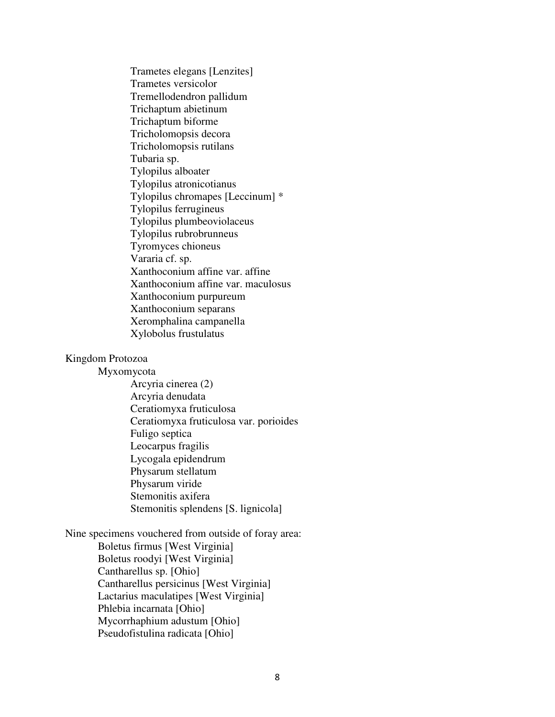Trametes elegans [Lenzites] Trametes versicolor Tremellodendron pallidum Trichaptum abietinum Trichaptum biforme Tricholomopsis decora Tricholomopsis rutilans Tubaria sp. Tylopilus alboater Tylopilus atronicotianus Tylopilus chromapes [Leccinum] \* Tylopilus ferrugineus Tylopilus plumbeoviolaceus Tylopilus rubrobrunneus Tyromyces chioneus Vararia cf. sp. Xanthoconium affine var. affine Xanthoconium affine var. maculosus Xanthoconium purpureum Xanthoconium separans Xeromphalina campanella Xylobolus frustulatus

## Kingdom Protozoa

Myxomycota

 Arcyria cinerea (2) Arcyria denudata Ceratiomyxa fruticulosa Ceratiomyxa fruticulosa var. porioides Fuligo septica Leocarpus fragilis Lycogala epidendrum Physarum stellatum Physarum viride Stemonitis axifera Stemonitis splendens [S. lignicola]

Nine specimens vouchered from outside of foray area:

 Boletus firmus [West Virginia] Boletus roodyi [West Virginia] Cantharellus sp. [Ohio] Cantharellus persicinus [West Virginia] Lactarius maculatipes [West Virginia] Phlebia incarnata [Ohio] Mycorrhaphium adustum [Ohio] Pseudofistulina radicata [Ohio]